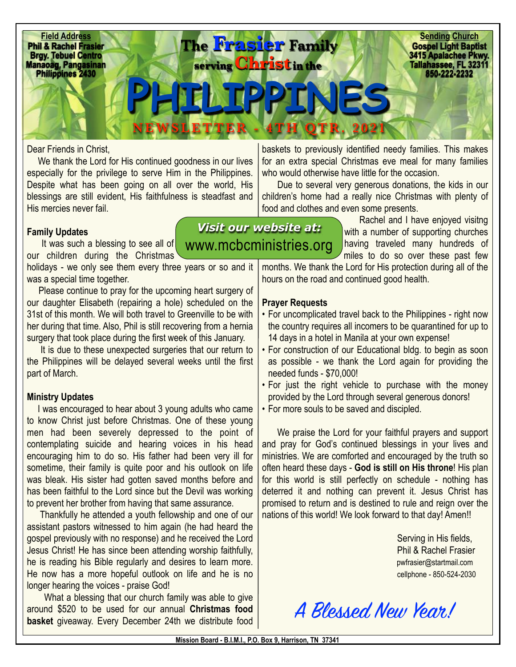

*Visit our website at:* 

## Dear Friends in Christ,

We thank the Lord for His continued goodness in our lives especially for the privilege to serve Him in the Philippines. Despite what has been going on all over the world, His blessings are still evident, His faithfulness is steadfast and His mercies never fail.

## **Family Updates**

It was such a blessing to see all of **[www.mcbcministries.org](http://www.mcbcministries.org)** our children during the Christmas

holidays - we only see them every three years or so and it was a special time together.

 Please continue to pray for the upcoming heart surgery of our daughter Elisabeth (repairing a hole) scheduled on the 31st of this month. We will both travel to Greenville to be with her during that time. Also, Phil is still recovering from a hernia surgery that took place during the first week of this January.

 It is due to these unexpected surgeries that our return to the Philippines will be delayed several weeks until the first part of March.

## **Ministry Updates**

 I was encouraged to hear about 3 young adults who came to know Christ just before Christmas. One of these young men had been severely depressed to the point of contemplating suicide and hearing voices in his head encouraging him to do so. His father had been very ill for sometime, their family is quite poor and his outlook on life was bleak. His sister had gotten saved months before and has been faithful to the Lord since but the Devil was working to prevent her brother from having that same assurance.

 Thankfully he attended a youth fellowship and one of our assistant pastors witnessed to him again (he had heard the gospel previously with no response) and he received the Lord Jesus Christ! He has since been attending worship faithfully, he is reading his Bible regularly and desires to learn more. He now has a more hopeful outlook on life and he is no longer hearing the voices - praise God!

 What a blessing that our church family was able to give around \$520 to be used for our annual **Christmas food basket** giveaway. Every December 24th we distribute food

baskets to previously identified needy families. This makes for an extra special Christmas eve meal for many families who would otherwise have little for the occasion.

 Due to several very generous donations, the kids in our children's home had a really nice Christmas with plenty of food and clothes and even some presents.

> Rachel and I have enjoyed visitng with a number of supporting churches having traveled many hundreds of miles to do so over these past few

months. We thank the Lord for His protection during all of the hours on the road and continued good health.

## **Prayer Requests**

- For uncomplicated travel back to the Philippines right now the country requires all incomers to be quarantined for up to 14 days in a hotel in Manila at your own expense!
- For construction of our Educational bldg. to begin as soon as possible - we thank the Lord again for providing the needed funds - \$70,000!
- For just the right vehicle to purchase with the money provided by the Lord through several generous donors!
- For more souls to be saved and discipled.

 We praise the Lord for your faithful prayers and support and pray for God's continued blessings in your lives and ministries. We are comforted and encouraged by the truth so often heard these days - **God is still on His throne**! His plan for this world is still perfectly on schedule - nothing has deterred it and nothing can prevent it. Jesus Christ has promised to return and is destined to rule and reign over the nations of this world! We look forward to that day! Amen!!

> Serving in His fields, Phil & Rachel Frasier [pwfrasier@startmail.com](mailto:pwfrasier@startmail.com) cellphone - 850-524-2030

A Blessed New Year!